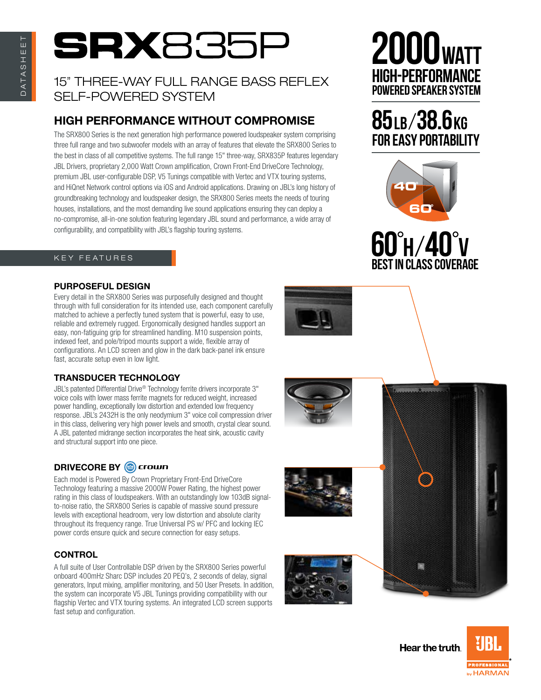# **SRX**835

## 15" THREE-way FULL RANGE BASS REFLEX SELF-POWERED SYSTEM

## High Performance Without Compromise

The SRX800 Series is the next generation high performance powered loudspeaker system comprising three full range and two subwoofer models with an array of features that elevate the SRX800 Series to the best in class of all competitive systems. The full range 15" three-way, SRX835P features legendary JBL Drivers, proprietary 2,000 Watt Crown amplification, Crown Front-End DriveCore Technology, premium JBL user-configurable DSP, V5 Tunings compatible with Vertec and VTX touring systems, and HiQnet Network control options via iOS and Android applications. Drawing on JBL's long history of groundbreaking technology and loudspeaker design, the SRX800 Series meets the needs of touring houses, installations, and the most demanding live sound applications ensuring they can deploy a no-compromise, all-in-one solution featuring legendary JBL sound and performance, a wide array of configurability, and compatibility with JBL's flagship touring systems.

## K EY FEATURES

## Purposeful Design

Every detail in the SRX800 Series was purposefully designed and thought through with full consideration for its intended use, each component carefully matched to achieve a perfectly tuned system that is powerful, easy to use, reliable and extremely rugged. Ergonomically designed handles support an easy, non-fatiguing grip for streamlined handling. M10 suspension points, indexed feet, and pole/tripod mounts support a wide, flexible array of configurations. An LCD screen and glow in the dark back-panel ink ensure fast, accurate setup even in low light.

## Transducer Technology

JBL's patented Differential Drive® Technology ferrite drivers incorporate 3" voice coils with lower mass ferrite magnets for reduced weight, increased power handling, exceptionally low distortion and extended low frequency response. JBL's 2432H is the only neodymium 3" voice coil compression driver in this class, delivering very high power levels and smooth, crystal clear sound. A JBL patented midrange section incorporates the heat sink, acoustic cavity and structural support into one piece.

## DRIVECORE BY @ crown

Each model is Powered By Crown Proprietary Front-End DriveCore Technology featuring a massive 2000W Power Rating, the highest power rating in this class of loudspeakers. With an outstandingly low 103dB signalto-noise ratio, the SRX800 Series is capable of massive sound pressure levels with exceptional headroom, very low distortion and absolute clarity throughout its frequency range. True Universal PS w/ PFC and locking IEC power cords ensure quick and secure connection for easy setups.

## **CONTROL**

A full suite of User Controllable DSP driven by the SRX800 Series powerful onboard 400mHz Sharc DSP includes 20 PEQ's, 2 seconds of delay, signal generators, Input mixing, amplifier monitoring, and 50 User Presets. In addition, the system can incorporate V5 JBL Tunings providing compatibility with our flagship Vertec and VTX touring systems. An integrated LCD screen supports fast setup and configuration.

## **2000wa** high-performance powered speaker system

## 85LB/38.6KG for easy portability





| $\bigcirc$ |  |
|------------|--|
|            |  |